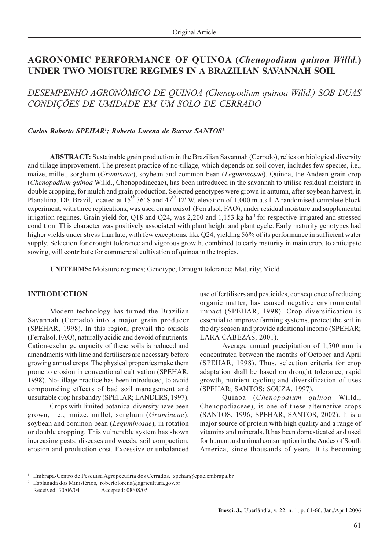# **AGRONOMIC PERFORMANCE OF QUINOA (Chenopodium quinoa Willd.)** UNDER TWO MOISTURE REGIMES IN A BRAZILIAN SAVANNAH SOIL

DESEMPENHO AGRONÔMICO DE QUINOA (Chenopodium quinoa Willd.) SOB DUAS CONDIÇÕES DE UMIDADE EM UM SOLO DE CERRADO

#### Carlos Roberto SPEHAR<sup>1</sup>; Roberto Lorena de Barros SANTOS<sup>2</sup>

**ABSTRACT:** Sustainable grain production in the Brazilian Savannah (Cerrado), relies on biological diversity and tillage improvement. The present practice of no-tillage, which depends on soil cover, includes few species, i.e., maize, millet, sorghum (*Gramineae*), soybean and common bean (*Leguminosae*). Quinoa, the Andean grain crop (Chenopodium quinoa Willd., Chenopodiaceae), has been introduced in the savannah to utilise residual moisture in double cropping, for mulch and grain production. Selected genotypes were grown in autumn, after soybean harvest, in Planaltina, DF, Brazil, located at  $15^{o}$  36' S and  $47^{o}$  12' W, elevation of 1,000 m.a.s.l. A randomised complete block experiment, with three replications, was used on an oxisol (Ferralsol, FAO), under residual moisture and supplemental irrigation regimes. Grain yield for, Q18 and Q24, was 2,200 and 1,153 kg ha<sup>-1</sup> for respective irrigated and stressed condition. This character was positively associated with plant height and plant cycle. Early maturity genotypes had higher yields under stress than late, with few exceptions, like Q24, yielding 56% of its performance in sufficient water supply. Selection for drought tolerance and vigorous growth, combined to early maturity in main crop, to anticipate sowing, will contribute for commercial cultivation of quinoa in the tropics.

**UNITERMS:** Moisture regimes; Genotype; Drought tolerance; Maturity; Yield

## **INTRODUCTION**

Modern technology has turned the Brazilian Savannah (Cerrado) into a major grain producer (SPEHAR, 1998). In this region, prevail the oxisols (Ferralsol, FAO), naturally acidic and devoid of nutrients. Cation-exchange capacity of these soils is reduced and amendments with lime and fertilisers are necessary before growing annual crops. The physical properties make them prone to erosion in conventional cultivation (SPEHAR, 1998). No-tillage practice has been introduced, to avoid compounding effects of bad soil management and unsuitable crop husbandry (SPEHAR; LANDERS, 1997).

Crops with limited botanical diversity have been grown, i.e., maize, millet, sorghum (Gramineae), soybean and common bean *(Leguminosae)*, in rotation or double cropping. This vulnerable system has shown increasing pests, diseases and weeds; soil compaction, erosion and production cost. Excessive or unbalanced use of fertilisers and pesticides, consequence of reducing organic matter, has caused negative environmental impact (SPEHAR, 1998). Crop diversification is essential to improve farming systems, protect the soil in the dry season and provide additional income (SPEHAR; LARA CABEZAS, 2001).

Average annual precipitation of 1,500 mm is concentrated between the months of October and April (SPEHAR, 1998). Thus, selection criteria for crop adaptation shall be based on drought tolerance, rapid growth, nutrient cycling and diversification of uses (SPEHAR; SANTOS; SOUZA, 1997).

Quinoa (Chenopodium quinoa Willd., Chenopodiaceae), is one of these alternative crops (SANTOS, 1996; SPEHAR; SANTOS, 2002). It is a major source of protein with high quality and a range of vitamins and minerals. It has been domesticated and used for human and animal consumption in the Andes of South America, since thousands of years. It is becoming

<sup>&</sup>lt;sup>1</sup> Embrapa-Centro de Pesquisa Agropecuária dos Cerrados, spehar@cpac.embrapa.br

<sup>&</sup>lt;sup>2</sup> Esplanada dos Ministérios, robertolorena@agricultura.gov.br Received: 30/06/04 Accepted: 08/08/05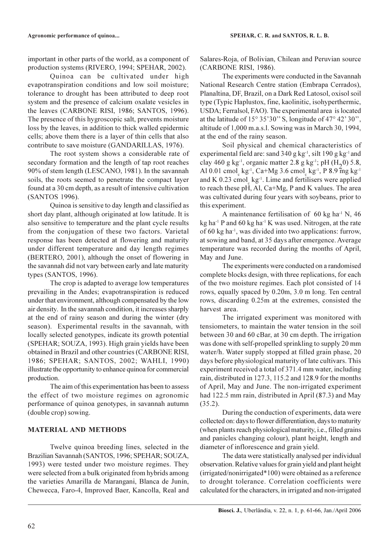important in other parts of the world, as a component of production systems (RIVERO, 1994; SPEHAR, 2002).

Quinoa can be cultivated under high evapotranspiration conditions and low soil moisture; tolerance to drought has been attributed to deep root system and the presence of calcium oxalate vesicles in the leaves (CARBONE RISI, 1986; SANTOS, 1996). The presence of this hygroscopic salt, prevents moisture loss by the leaves, in addition to thick walled epidermic cells; above them there is a layer of thin cells that also contribute to save moisture (GANDARILLAS, 1976).

The root system shows a considerable rate of secondary formation and the length of tap root reaches 90% of stem length (LESCANO, 1981). In the savannah soils, the roots seemed to penetrate the compact layer found at a 30 cm depth, as a result of intensive cultivation (SANTOS 1996).

Quinoa is sensitive to day length and classified as short day plant, although originated at low latitude. It is also sensitive to temperature and the plant cycle results from the conjugation of these two factors. Varietal response has been detected at flowering and maturity under different temperature and day length regimes (BERTERO, 2001), although the onset of flowering in the savannah did not vary between early and late maturity types (SANTOS, 1996).

The crop is adapted to average low temperatures prevailing in the Andes; evapotranspiration is reduced under that environment, although compensated by the low air density. In the savannah condition, it increases sharply at the end of rainy season and during the winter (dry season). Experimental results in the savannah, with locally selected genotypes, indicate its growth potential (SPEHAR; SOUZA, 1993). High grain yields have been obtained in Brazil and other countries (CARBONE RISI, 1986; SPEHAR; SANTOS, 2002; WAHLI, 1990) illustrate the opportunity to enhance quinoa for commercial production.

The aim of this experimentation has been to assess the effect of two moisture regimes on agronomic performance of quinoa genotypes, in savannah autumn (double crop) sowing.

## **MATERIAL AND METHODS**

Twelve quinoa breeding lines, selected in the Brazilian Savannah (SANTOS, 1996; SPEHAR; SOUZA, 1993) were tested under two moisture regimes. They were selected from a bulk originated from hybrids among the varieties Amarilla de Marangani, Blanca de Junín, Chewecca, Faro-4, Improved Baer, Kancolla, Real and Salares-Roja, of Bolivian, Chilean and Peruvian source (CARBONE RISI, 1986).

The experiments were conducted in the Savannah National Research Centre station (Embrapa Cerrados), Planaltina, DF, Brazil, on a Dark Red Latosol, oxisol soil type (Typic Haplustox, fine, kaolinitic, isohyperthermic, USDA; Ferralsol, FAO). The experimental area is located at the latitude of  $15^{\circ} 35'30''$  S, longitude of  $47^{\circ} 42'30''$ , altitude of 1,000 m.a.s.l. Sowing was in March 30, 1994, at the end of the rainy season.

Soil physical and chemical characteristics of experimental field are: sand 340 g  $kg^{-1}$ , silt 190 g  $kg^{-1}$  and clay 460 g kg<sup>-1</sup>, organic matter 2.8 g kg<sup>-1</sup>; pH (H<sub>2</sub>0) 5.8, Al 0.01 cmol kg<sup>-1</sup>, Ca+Mg 3.6 cmol kg<sup>-1</sup>, P 8.9 mg kg<sup>-1</sup> and K  $0.23$  cmol kg<sup>-1</sup>. Lime and fertilisers were applied to reach these pH, Al, Ca+Mg, P and K values. The area was cultivated during four years with soybeans, prior to this experiment.

A maintenance fertilisation of 60 kg ha<sup>-1</sup> N, 46 kg ha<sup>-1</sup> P and 60 kg ha<sup>-1</sup> K was used. Nitrogen, at the rate of 60 kg ha<sup>-1</sup>, was divided into two applications: furrow, at sowing and band, at 35 days after emergence. Average temperature was recorded during the months of April, May and June.

The experiments were conducted on a randomised complete blocks design, with three replications, for each of the two moisture regimes. Each plot consisted of 14 rows, equally spaced by 0.20m, 3.0 m long. Ten central rows, discarding 0.25m at the extremes, consisted the harvest area.

The irrigated experiment was monitored with tensiometers, to maintain the water tension in the soil between 30 and 60 cBar, at 30 cm depth. The irrigation was done with self-propelled sprinkling to supply 20 mm water/h. Water supply stopped at filled grain phase, 20 days before physiological maturity of late cultivars. This experiment received a total of 371.4 mm water, including rain, distributed in 127.3, 115.2 and 128.9 for the months of April, May and June. The non-irrigated experiment had 122.5 mm rain, distributed in April (87.3) and May  $(35.2).$ 

During the conduction of experiments, data were collected on: days to flower differentiation, days to maturity (when plants reach physiological maturity, i.e., filled grains and panicles changing colour), plant height, length and diameter of inflorescence and grain yield.

The data were statistically analysed per individual observation. Relative values for grain yield and plant height (irrigated/nonirrigated\*100) were obtained as a reference to drought tolerance. Correlation coefficients were calculated for the characters, in irrigated and non-irrigated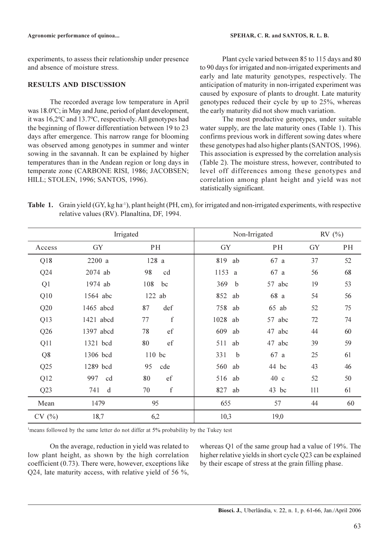experiments, to assess their relationship under presence and absence of moisture stress.

## **RESULTS AND DISCUSSION**

The recorded average low temperature in April was 18.0°C; in May and June, period of plant development, it was 16,2°C and 13.7°C, respectively. All genotypes had the beginning of flower differentiation between 19 to 23 days after emergence. This narrow range for blooming was observed among genotypes in summer and winter sowing in the savannah. It can be explained by higher temperatures than in the Andean region or long days in temperate zone (CARBONE RISI, 1986; JACOBSEN; HILL; STOLEN, 1996; SANTOS, 1996).

Plant cycle varied between 85 to 115 days and 80 to 90 days for irrigated and non-irrigated experiments and early and late maturity genotypes, respectively. The anticipation of maturity in non-irrigated experiment was caused by exposure of plants to drought. Late maturity genotypes reduced their cycle by up to 25%, whereas the early maturity did not show much variation.

The most productive genotypes, under suitable water supply, are the late maturity ones (Table 1). This confirms previous work in different sowing dates where these genotypes had also higher plants (SANTOS, 1996). This association is expressed by the correlation analysis (Table 2). The moisture stress, however, contributed to level off differences among these genotypes and correlation among plant height and yield was not statistically significant.

Table 1. Grain yield (GY, kg ha<sup>-1</sup>), plant height (PH, cm), for irrigated and non-irrigated experiments, with respective relative values (RV). Planaltina, DF, 1994.

| Irrigated      |           | Non-Irrigated     |                    | RV(%)     |     |    |
|----------------|-----------|-------------------|--------------------|-----------|-----|----|
| Access         | GY        | PH                | GY                 | PH        | GY  | PH |
| Q18            | 2200 a    | 128 a             | 819<br>ab          | 67 a      | 37  | 52 |
| Q24            | 2074 ab   | 98<br>cd          | 1153 a             | 67 a      | 56  | 68 |
| Q <sub>1</sub> | 1974 ab   | 108<br>bc         | 369<br>b           | 57 abc    | 19  | 53 |
| Q10            | 1564 abc  | $122$ ab          | 852 ab             | 68 a      | 54  | 56 |
| Q20            | 1465 abcd | def<br>87         | 758 ab             | 65<br>ab  | 52  | 75 |
| Q13            | 1421 abcd | $\mathbf f$<br>77 | 1028 ab            | 57 abc    | 72  | 74 |
| Q26            | 1397 abcd | 78<br>ef          | 609<br>ab          | 47<br>abc | 44  | 60 |
| Q11            | 1321 bcd  | 80<br>ef          | 511<br>ab          | 47<br>abc | 39  | 59 |
| Q <sub>8</sub> | 1306 bcd  | 110 bc            | 331<br>$\mathbf b$ | 67 a      | 25  | 61 |
| Q25            | 1289 bcd  | 95<br>cde         | 560 ab             | 44 bc     | 43  | 46 |
| Q12            | 997<br>cd | 80<br>ef          | 516 ab             | 40c       | 52  | 50 |
| Q23            | 741<br>d  | $\mathbf f$<br>70 | 827<br>ab          | $43$ bc   | 111 | 61 |
| Mean           | 1479      | 95                | 655                | 57        | 44  | 60 |
| CV(%)          | 18,7      | 6,2               | 10,3               | 19,0      |     |    |

<sup>1</sup>means followed by the same letter do not differ at 5% probability by the Tukey test

On the average, reduction in yield was related to low plant height, as shown by the high correlation coefficient  $(0.73)$ . There were, however, exceptions like Q24, late maturity access, with relative yield of 56 %, whereas Q1 of the same group had a value of 19%. The higher relative yields in short cycle O23 can be explained by their escape of stress at the grain filling phase.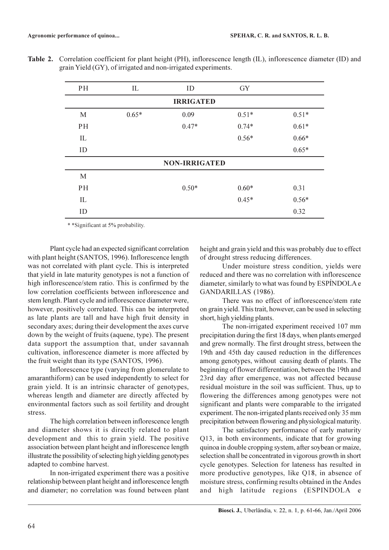| PH                   | IL      | ID      | GY      |         |  |  |  |  |
|----------------------|---------|---------|---------|---------|--|--|--|--|
| <b>IRRIGATED</b>     |         |         |         |         |  |  |  |  |
| M                    | $0.65*$ | 0.09    | $0.51*$ | $0.51*$ |  |  |  |  |
| PH                   |         | $0.47*$ | $0.74*$ | $0.61*$ |  |  |  |  |
| IL                   |         |         | $0.56*$ | $0.66*$ |  |  |  |  |
| ID                   |         |         |         | $0.65*$ |  |  |  |  |
| <b>NON-IRRIGATED</b> |         |         |         |         |  |  |  |  |
| M                    |         |         |         |         |  |  |  |  |
| PH                   |         | $0.50*$ | $0.60*$ | 0.31    |  |  |  |  |
| IL                   |         |         | $0.45*$ | $0.56*$ |  |  |  |  |
| ID                   |         |         |         | 0.32    |  |  |  |  |

Table 2. Correlation coefficient for plant height (PH), inflorescence length (IL), inflorescence diameter (ID) and grain Yield (GY), of irrigated and non-irrigated experiments.

\* \* Significant at 5% probability.

Plant cycle had an expected significant correlation with plant height (SANTOS, 1996). Inflorescence length was not correlated with plant cycle. This is interpreted that yield in late maturity genotypes is not a function of high inflorescence/stem ratio. This is confirmed by the low correlation coefficients between inflorescence and stem length. Plant cycle and inflorescence diameter were, however, positively correlated. This can be interpreted as late plants are tall and have high fruit density in secondary axes; during their development the axes curve down by the weight of fruits (aquene, type). The present data support the assumption that, under savannah cultivation, inflorescence diameter is more affected by the fruit weight than its type (SANTOS, 1996).

Inflorescence type (varying from glomerulate to amaranthiform) can be used independently to select for grain yield. It is an intrinsic character of genotypes, whereas length and diameter are directly affected by environmental factors such as soil fertility and drought stress.

The high correlation between inflorescence length and diameter shows it is directly related to plant development and this to grain yield. The positive association between plant height and inflorescence length illustrate the possibility of selecting high yielding genotypes adapted to combine harvest.

In non-irrigated experiment there was a positive relationship between plant height and inflorescence length and diameter; no correlation was found between plant height and grain yield and this was probably due to effect of drought stress reducing differences.

Under moisture stress condition, yields were reduced and there was no correlation with inflorescence diameter, similarly to what was found by ESPINDOLA e GANDARILLAS (1986).

There was no effect of inflorescence/stem rate on grain yield. This trait, however, can be used in selecting short, high yielding plants.

The non-irrigated experiment received 107 mm precipitation during the first 18 days, when plants emerged and grew normally. The first drought stress, between the 19th and 45th day caused reduction in the differences among genotypes, without causing death of plants. The beginning of flower differentiation, between the 19th and 23rd day after emergence, was not affected because residual moisture in the soil was sufficient. Thus, up to flowering the differences among genotypes were not significant and plants were comparable to the irrigated experiment. The non-irrigated plants received only 35 mm precipitation between flowering and physiological maturity.

The satisfactory performance of early maturity Q13, in both environments, indicate that for growing quinoa in double cropping system, after soybean or maize, selection shall be concentrated in vigorous growth in short cycle genotypes. Selection for lateness has resulted in more productive genotypes, like Q18, in absence of moisture stress, confirming results obtained in the Andes and high latitude regions (ESPINDOLA e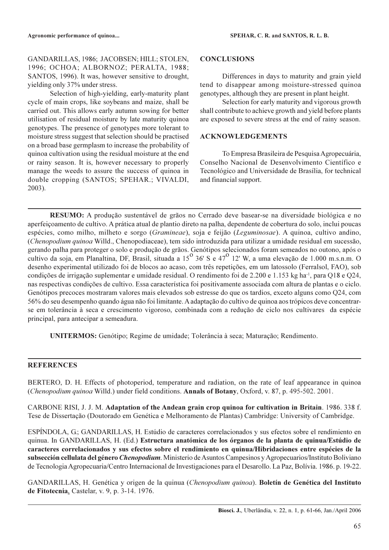GANDARILLAS, 1986; JACOBSEN; HILL; STOLEN, 1996; OCHOA; ALBORNOZ; PERALTA, 1988; SANTOS, 1996). It was, however sensitive to drought, vielding only 37% under stress.

Selection of high-yielding, early-maturity plant cycle of main crops, like soybeans and maize, shall be carried out. This allows early autumn sowing for better utilisation of residual moisture by late maturity quinoa genotypes. The presence of genotypes more tolerant to moisture stress suggest that selection should be practised on a broad base germplasm to increase the probability of quinoa cultivation using the residual moisture at the end or rainy season. It is, however necessary to properly manage the weeds to assure the success of quinoa in double cropping (SANTOS; SPEHAR.; VIVALDI,  $2003$ ).

#### **CONCLUSIONS**

Differences in days to maturity and grain yield tend to disappear among moisture-stressed quinoa genotypes, although they are present in plant height.

Selection for early maturity and vigorous growth shall contribute to achieve growth and yield before plants are exposed to severe stress at the end of rainy season.

#### **ACKNOWLEDGEMENTS**

To Empresa Brasileira de Pesquisa Agropecuária, Conselho Nacional de Desenvolvimento Científico e Tecnológico and Universidade de Brasília, for technical and financial support.

RESUMO: A produção sustentável de grãos no Cerrado deve basear-se na diversidade biológica e no aperfeiçoamento de cultivo. A prática atual de plantio direto na palha, dependente de cobertura do solo, inclui poucas espécies, como milho, milheto e sorgo (Gramineae), soja e feijão (Leguminosae). A quinoa, cultivo andino, (Chenopodium quinoa Willd., Chenopodiaceae), tem sido introduzida para utilizar a umidade residual em sucessão, gerando palha para proteger o solo e produção de grãos. Genótipos selecionados foram semeados no outono, após o<br>cultivo da soja, em Planaltina, DF, Brasil, situada a 15<sup>o</sup> 36' S e 47<sup>o</sup> 12' W, a uma elevação de 1.000 m.s.n desenho experimental utilizado foi de blocos ao acaso, com três repetições, em um latossolo (Ferralsol, FAO), sob condições de irrigação suplementar e umidade residual. O rendimento foi de 2.200 e 1.153 kg ha<sup>-1</sup>, para Q18 e Q24, nas respectivas condições de cultivo. Essa característica foi positivamente associada com altura de plantas e o ciclo. Genótipos precoces mostraram valores mais elevados sob estresse do que os tardios, exceto alguns como Q24, com 56% do seu desempenho quando água não foi limitante. A adaptação do cultivo de quinoa aos trópicos deve concentrarse em tolerância à seca e crescimento vigoroso, combinada com a redução de ciclo nos cultivares da espécie principal, para antecipar a semeadura.

UNITERMOS: Genótipo; Regime de umidade; Tolerância à seca; Maturação; Rendimento.

## **REFERENCES**

BERTERO, D. H. Effects of photoperiod, temperature and radiation, on the rate of leaf appearance in quinoa (Chenopodium quinoa Willd.) under field conditions. Annals of Botany, Oxford, v. 87, p. 495-502. 2001.

CARBONE RISI, J. J. M. Adaptation of the Andean grain crop quinoa for cultivation in Britain. 1986. 338 f. Tese de Dissertação (Doutorado em Genética e Melhoramento de Plantas) Cambridge: University of Cambridge.

ESPÍNDOLA, G.; GANDARILLAS, H. Estúdio de caracteres correlacionados y sus efectos sobre el rendimiento en quinua. In GANDARILLAS, H. (Ed.) Estructura anatómica de los órganos de la planta de quinua/Estúdio de caracteres correlacionados y sus efectos sobre el rendimiento en quinua/Hibridaciones entre espécies de la subsección cellulata del género *Chenopodium*. Ministerio de Asuntos Campesinos y Agropecuarios/Instituto Boliviano de Tecnologia Agropecuaria/Centro Internacional de Investigaciones para el Desarollo. La Paz, Bolívia. 1986. p. 19-22.

GANDARILLAS, H. Genética y origen de la quinua (Chenopodium quinoa). Boletín de Genética del Instituto de Fitotecnia, Castelar, v. 9, p. 3-14. 1976.